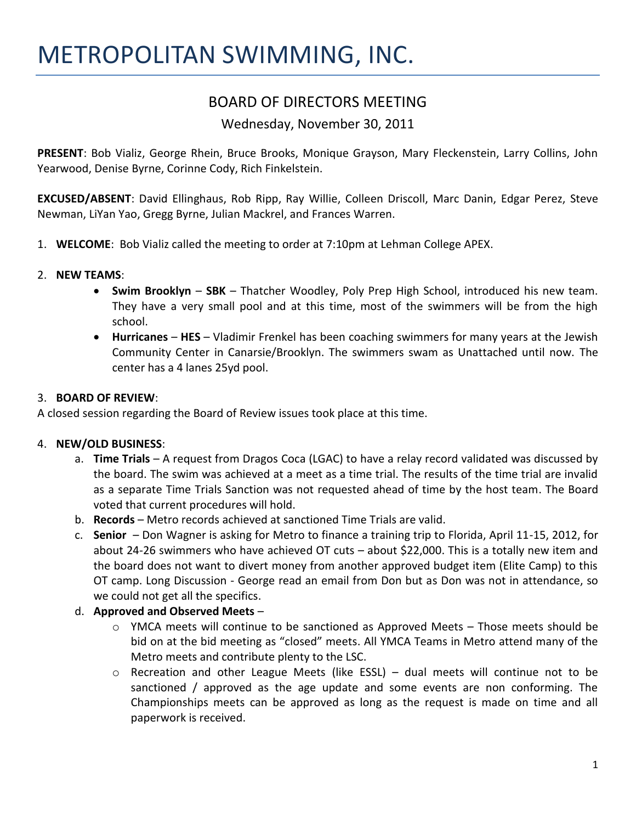# BOARD OF DIRECTORS MEETING

## Wednesday, November 30, 2011

**PRESENT**: Bob Vializ, George Rhein, Bruce Brooks, Monique Grayson, Mary Fleckenstein, Larry Collins, John Yearwood, Denise Byrne, Corinne Cody, Rich Finkelstein.

**EXCUSED/ABSENT**: David Ellinghaus, Rob Ripp, Ray Willie, Colleen Driscoll, Marc Danin, Edgar Perez, Steve Newman, LiYan Yao, Gregg Byrne, Julian Mackrel, and Frances Warren.

- 1. **WELCOME**: Bob Vializ called the meeting to order at 7:10pm at Lehman College APEX.
- 2. **NEW TEAMS**:
	- **Swim Brooklyn SBK** Thatcher Woodley, Poly Prep High School, introduced his new team. They have a very small pool and at this time, most of the swimmers will be from the high school.
	- **Hurricanes HES** Vladimir Frenkel has been coaching swimmers for many years at the Jewish Community Center in Canarsie/Brooklyn. The swimmers swam as Unattached until now. The center has a 4 lanes 25yd pool.

#### 3. **BOARD OF REVIEW**:

A closed session regarding the Board of Review issues took place at this time.

#### 4. **NEW/OLD BUSINESS**:

- a. **Time Trials** A request from Dragos Coca (LGAC) to have a relay record validated was discussed by the board. The swim was achieved at a meet as a time trial. The results of the time trial are invalid as a separate Time Trials Sanction was not requested ahead of time by the host team. The Board voted that current procedures will hold.
- b. **Records** Metro records achieved at sanctioned Time Trials are valid.
- c. **Senior**  Don Wagner is asking for Metro to finance a training trip to Florida, April 11-15, 2012, for about 24-26 swimmers who have achieved OT cuts – about \$22,000. This is a totally new item and the board does not want to divert money from another approved budget item (Elite Camp) to this OT camp. Long Discussion - George read an email from Don but as Don was not in attendance, so we could not get all the specifics.
- d. **Approved and Observed Meets** 
	- $\circ$  YMCA meets will continue to be sanctioned as Approved Meets Those meets should be bid on at the bid meeting as "closed" meets. All YMCA Teams in Metro attend many of the Metro meets and contribute plenty to the LSC.
	- $\circ$  Recreation and other League Meets (like ESSL) dual meets will continue not to be sanctioned / approved as the age update and some events are non conforming. The Championships meets can be approved as long as the request is made on time and all paperwork is received.